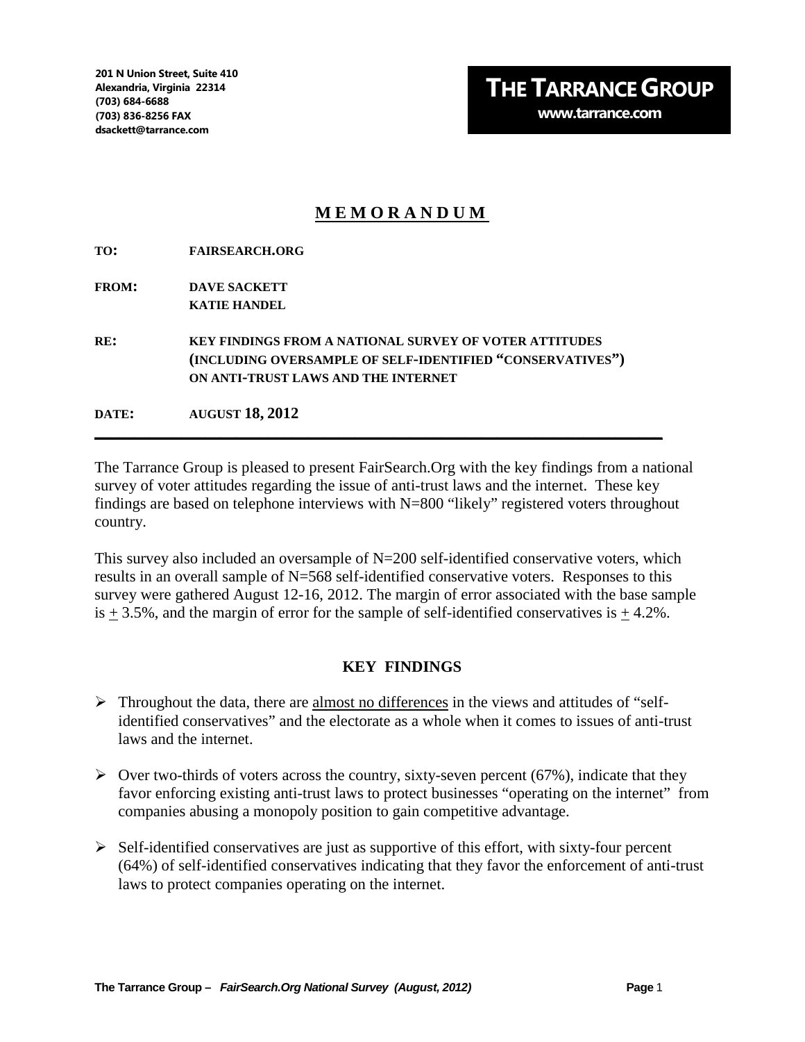## **MEMORANDUM**

**TO: FAIRSEARCH.ORG**

**FROM: DAVE SACKETT KATIE HANDEL**

**RE: KEY FINDINGS FROM A NATIONAL SURVEY OF VOTER ATTITUDES (INCLUDING OVERSAMPLE OF SELF-IDENTIFIED "CONSERVATIVES") ON ANTI-TRUST LAWS AND THE INTERNET**

**DATE: AUGUST 18, 2012**

The Tarrance Group is pleased to present FairSearch.Org with the key findings from a national survey of voter attitudes regarding the issue of anti-trust laws and the internet. These key findings are based on telephone interviews with N=800 "likely" registered voters throughout country.

**\_\_\_\_\_\_\_\_\_\_\_\_\_\_\_\_\_\_\_\_\_\_\_\_\_\_\_\_\_\_\_\_\_\_\_\_\_\_\_\_\_\_\_\_\_\_\_\_\_\_\_\_\_\_\_\_\_\_\_\_\_\_\_\_\_\_\_\_\_\_\_\_**

This survey also included an oversample of N=200 self-identified conservative voters, which results in an overall sample of N=568 self-identified conservative voters. Responses to this survey were gathered August 12-16, 2012. The margin of error associated with the base sample is  $+3.5\%$ , and the margin of error for the sample of self-identified conservatives is  $+4.2\%$ .

## **KEY FINDINGS**

- $\triangleright$  Throughout the data, there are almost no differences in the views and attitudes of "selfidentified conservatives" and the electorate as a whole when it comes to issues of anti-trust laws and the internet.
- $\triangleright$  Over two-thirds of voters across the country, sixty-seven percent (67%), indicate that they favor enforcing existing anti-trust laws to protect businesses "operating on the internet" from companies abusing a monopoly position to gain competitive advantage.
- $\triangleright$  Self-identified conservatives are just as supportive of this effort, with sixty-four percent (64%) of self-identified conservatives indicating that they favor the enforcement of anti-trust laws to protect companies operating on the internet.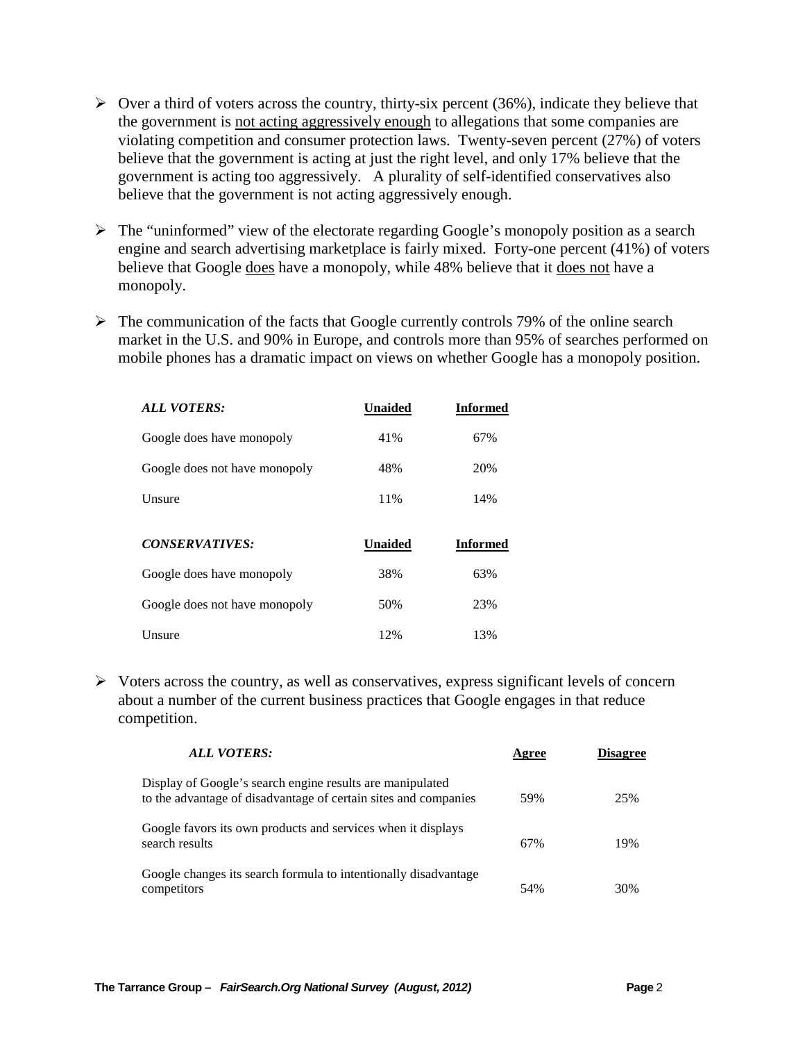- $\triangleright$  Over a third of voters across the country, thirty-six percent (36%), indicate they believe that the government is not acting aggressively enough to allegations that some companies are violating competition and consumer protection laws. Twenty-seven percent (27%) of voters believe that the government is acting at just the right level, and only 17% believe that the government is acting too aggressively. A plurality of self-identified conservatives also believe that the government is not acting aggressively enough.
- $\triangleright$  The "uninformed" view of the electorate regarding Google's monopoly position as a search engine and search advertising marketplace is fairly mixed. Forty-one percent (41%) of voters believe that Google does have a monopoly, while 48% believe that it does not have a monopoly.
- $\triangleright$  The communication of the facts that Google currently controls 79% of the online search market in the U.S. and 90% in Europe, and controls more than 95% of searches performed on mobile phones has a dramatic impact on views on whether Google has a monopoly position.

| <b>ALL VOTERS:</b>            | <b>Unaided</b> | <b>Informed</b> |
|-------------------------------|----------------|-----------------|
| Google does have monopoly     | 41%            | 67%             |
| Google does not have monopoly | 48%            | 20%             |
| Unsure                        | 11%            | 14%             |
| <b>CONSERVATIVES:</b>         | <b>Unaided</b> | <b>Informed</b> |
| Google does have monopoly     | 38%            | 63%             |
| Google does not have monopoly | 50%            | 23%             |
| Unsure                        | 12%            | 13%             |

 $\triangleright$  Voters across the country, as well as conservatives, express significant levels of concern about a number of the current business practices that Google engages in that reduce competition.

| <b>ALL VOTERS:</b>                                                                                                           | Agree | <b>Disagree</b> |
|------------------------------------------------------------------------------------------------------------------------------|-------|-----------------|
| Display of Google's search engine results are manipulated<br>to the advantage of disadvantage of certain sites and companies | 59%   | 25%             |
| Google favors its own products and services when it displays<br>search results                                               | 67%   | 19%             |
| Google changes its search formula to intentionally disadvantage<br>competitors                                               | 54%   | 30%             |